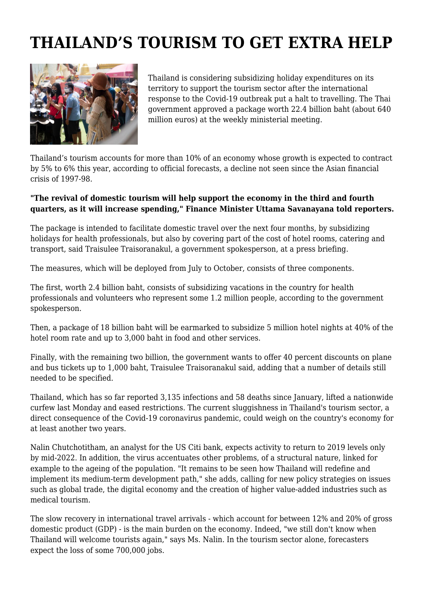## **THAILAND'S TOURISM TO GET EXTRA HELP**



Thailand is considering subsidizing holiday expenditures on its territory to support the tourism sector after the international response to the Covid-19 outbreak put a halt to travelling. The Thai government approved a package worth 22.4 billion baht (about 640 million euros) at the weekly ministerial meeting.

Thailand's tourism accounts for more than 10% of an economy whose growth is expected to contract by 5% to 6% this year, according to official forecasts, a decline not seen since the Asian financial crisis of 1997-98.

## **"The revival of domestic tourism will help support the economy in the third and fourth quarters, as it will increase spending," Finance Minister Uttama Savanayana told reporters.**

The package is intended to facilitate domestic travel over the next four months, by subsidizing holidays for health professionals, but also by covering part of the cost of hotel rooms, catering and transport, said Traisulee Traisoranakul, a government spokesperson, at a press briefing.

The measures, which will be deployed from July to October, consists of three components.

The first, worth 2.4 billion baht, consists of subsidizing vacations in the country for health professionals and volunteers who represent some 1.2 million people, according to the government spokesperson.

Then, a package of 18 billion baht will be earmarked to subsidize 5 million hotel nights at 40% of the hotel room rate and up to 3,000 baht in food and other services.

Finally, with the remaining two billion, the government wants to offer 40 percent discounts on plane and bus tickets up to 1,000 baht, Traisulee Traisoranakul said, adding that a number of details still needed to be specified.

Thailand, which has so far reported 3,135 infections and 58 deaths since January, lifted a nationwide curfew last Monday and eased restrictions. The current sluggishness in Thailand's tourism sector, a direct consequence of the Covid-19 coronavirus pandemic, could weigh on the country's economy for at least another two years.

Nalin Chutchotitham, an analyst for the US Citi bank, expects activity to return to 2019 levels only by mid-2022. In addition, the virus accentuates other problems, of a structural nature, linked for example to the ageing of the population. "It remains to be seen how Thailand will redefine and implement its medium-term development path," she adds, calling for new policy strategies on issues such as global trade, the digital economy and the creation of higher value-added industries such as medical tourism.

The slow recovery in international travel arrivals - which account for between 12% and 20% of gross domestic product (GDP) - is the main burden on the economy. Indeed, "we still don't know when Thailand will welcome tourists again," says Ms. Nalin. In the tourism sector alone, forecasters expect the loss of some 700,000 jobs.